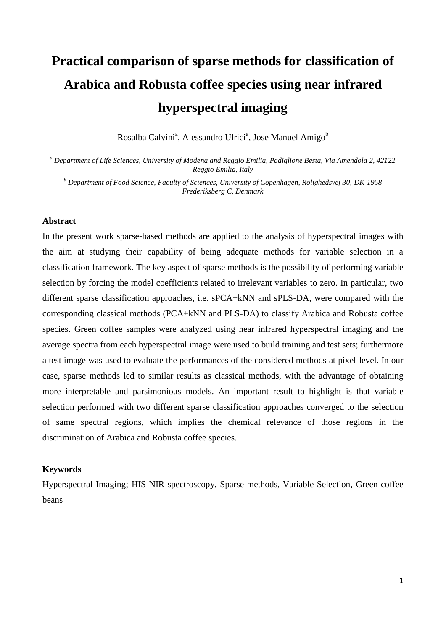# **Practical comparison of sparse methods for classification of Arabica and Robusta coffee species using near infrared hyperspectral imaging**

Rosalba Calvini<sup>a</sup>, Alessandro Ulrici<sup>a</sup>, Jose Manuel Amigo<sup>b</sup>

*<sup>a</sup> Department of Life Sciences, University of Modena and Reggio Emilia, Padiglione Besta, Via Amendola 2, 42122 Reggio Emilia, Italy*

*<sup>b</sup> Department of Food Science, Faculty of Sciences, University of Copenhagen, Rolighedsvej 30, DK-1958 Frederiksberg C, Denmark*

#### **Abstract**

In the present work sparse-based methods are applied to the analysis of hyperspectral images with the aim at studying their capability of being adequate methods for variable selection in a classification framework. The key aspect of sparse methods is the possibility of performing variable selection by forcing the model coefficients related to irrelevant variables to zero. In particular, two different sparse classification approaches, i.e. sPCA+kNN and sPLS-DA, were compared with the corresponding classical methods (PCA+kNN and PLS-DA) to classify Arabica and Robusta coffee species. Green coffee samples were analyzed using near infrared hyperspectral imaging and the average spectra from each hyperspectral image were used to build training and test sets; furthermore a test image was used to evaluate the performances of the considered methods at pixel-level. In our case, sparse methods led to similar results as classical methods, with the advantage of obtaining more interpretable and parsimonious models. An important result to highlight is that variable selection performed with two different sparse classification approaches converged to the selection of same spectral regions, which implies the chemical relevance of those regions in the discrimination of Arabica and Robusta coffee species.

## **Keywords**

Hyperspectral Imaging; HIS-NIR spectroscopy, Sparse methods, Variable Selection, Green coffee beans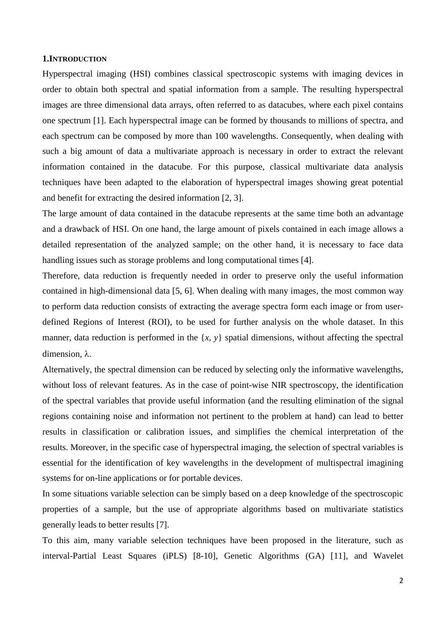## **1.INTRODUCTION**

Hyperspectral imaging (HSI) combines classical spectroscopic systems with imaging devices in order to obtain both spectral and spatial information from a sample. The resulting hyperspectral images are three dimensional data arrays, often referred to as datacubes, where each pixel contains one spectrum [1]. Each hyperspectral image can be formed by thousands to millions of spectra, and each spectrum can be composed by more than 100 wavelengths. Consequently, when dealing with such a big amount of data a multivariate approach is necessary in order to extract the relevant information contained in the datacube. For this purpose, classical multivariate data analysis techniques have been adapted to the elaboration of hyperspectral images showing great potential and benefit for extracting the desired information [2, 3].

The large amount of data contained in the datacube represents at the same time both an advantage and a drawback of HSI. On one hand, the large amount of pixels contained in each image allows a detailed representation of the analyzed sample; on the other hand, it is necessary to face data handling issues such as storage problems and long computational times [4].

Therefore, data reduction is frequently needed in order to preserve only the useful information contained in high-dimensional data [5, 6]. When dealing with many images, the most common way to perform data reduction consists of extracting the average spectra form each image or from userdefined Regions of Interest (ROI), to be used for further analysis on the whole dataset. In this manner, data reduction is performed in the  $\{x, y\}$  spatial dimensions, without affecting the spectral dimension,  $\lambda$ .

Alternatively, the spectral dimension can be reduced by selecting only the informative wavelengths, without loss of relevant features. As in the case of point-wise NIR spectroscopy, the identification of the spectral variables that provide useful information (and the resulting elimination of the signal regions containing noise and information not pertinent to the problem at hand) can lead to better results in classification or calibration issues, and simplifies the chemical interpretation of the results. Moreover, in the specific case of hyperspectral imaging, the selection of spectral variables is essential for the identification of key wavelengths in the development of multispectral imagining systems for on-line applications or for portable devices.

In some situations variable selection can be simply based on a deep knowledge of the spectroscopic properties of a sample, but the use of appropriate algorithms based on multivariate statistics generally leads to better results [7].

To this aim, many variable selection techniques have been proposed in the literature, such as interval-Partial Least Squares (iPLS) [8-10], Genetic Algorithms (GA) [11], and Wavelet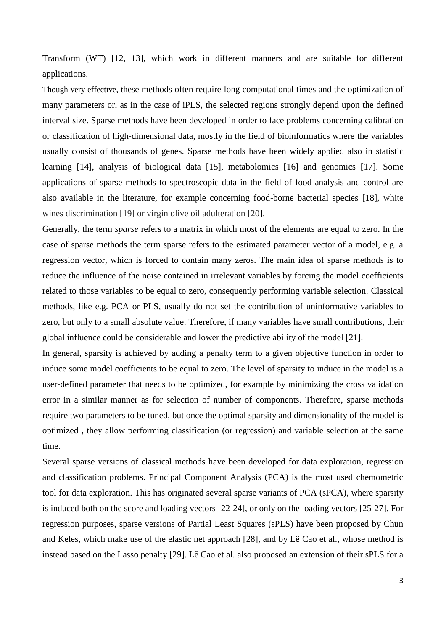Transform (WT) [12, 13], which work in different manners and are suitable for different applications.

Though very effective, these methods often require long computational times and the optimization of many parameters or, as in the case of iPLS, the selected regions strongly depend upon the defined interval size. Sparse methods have been developed in order to face problems concerning calibration or classification of high-dimensional data, mostly in the field of bioinformatics where the variables usually consist of thousands of genes. Sparse methods have been widely applied also in statistic learning [14], analysis of biological data [15], metabolomics [16] and genomics [17]. Some applications of sparse methods to spectroscopic data in the field of food analysis and control are also available in the literature, for example concerning food-borne bacterial species [18], white wines discrimination [19] or virgin olive oil adulteration [20].

Generally, the term *sparse* refers to a matrix in which most of the elements are equal to zero. In the case of sparse methods the term sparse refers to the estimated parameter vector of a model, e.g. a regression vector, which is forced to contain many zeros. The main idea of sparse methods is to reduce the influence of the noise contained in irrelevant variables by forcing the model coefficients related to those variables to be equal to zero, consequently performing variable selection. Classical methods, like e.g. PCA or PLS, usually do not set the contribution of uninformative variables to zero, but only to a small absolute value. Therefore, if many variables have small contributions, their global influence could be considerable and lower the predictive ability of the model [21].

In general, sparsity is achieved by adding a penalty term to a given objective function in order to induce some model coefficients to be equal to zero. The level of sparsity to induce in the model is a user-defined parameter that needs to be optimized, for example by minimizing the cross validation error in a similar manner as for selection of number of components. Therefore, sparse methods require two parameters to be tuned, but once the optimal sparsity and dimensionality of the model is optimized , they allow performing classification (or regression) and variable selection at the same time.

Several sparse versions of classical methods have been developed for data exploration, regression and classification problems. Principal Component Analysis (PCA) is the most used chemometric tool for data exploration. This has originated several sparse variants of PCA (sPCA), where sparsity is induced both on the score and loading vectors [22-24], or only on the loading vectors [25-27]. For regression purposes, sparse versions of Partial Least Squares (sPLS) have been proposed by Chun and Keles, which make use of the elastic net approach [28], and by Lê Cao et al., whose method is instead based on the Lasso penalty [29]. Lê Cao et al. also proposed an extension of their sPLS for a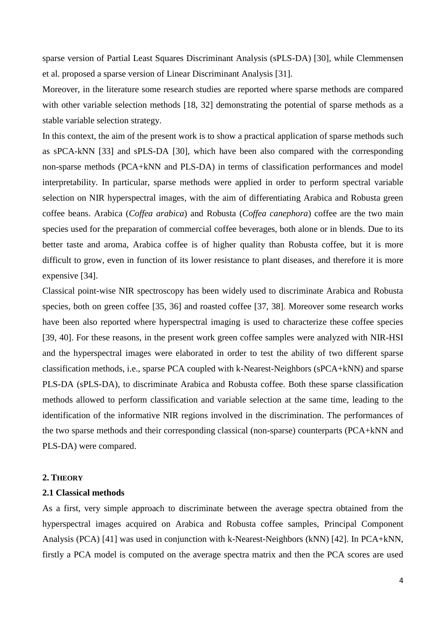sparse version of Partial Least Squares Discriminant Analysis (sPLS-DA) [30], while Clemmensen et al. proposed a sparse version of Linear Discriminant Analysis [31].

Moreover, in the literature some research studies are reported where sparse methods are compared with other variable selection methods [18, 32] demonstrating the potential of sparse methods as a stable variable selection strategy.

In this context, the aim of the present work is to show a practical application of sparse methods such as sPCA-kNN [33] and sPLS-DA [30], which have been also compared with the corresponding non-sparse methods (PCA+kNN and PLS-DA) in terms of classification performances and model interpretability. In particular, sparse methods were applied in order to perform spectral variable selection on NIR hyperspectral images, with the aim of differentiating Arabica and Robusta green coffee beans. Arabica (*Coffea arabica*) and Robusta (*Coffea canephora*) coffee are the two main species used for the preparation of commercial coffee beverages, both alone or in blends. Due to its better taste and aroma, Arabica coffee is of higher quality than Robusta coffee, but it is more difficult to grow, even in function of its lower resistance to plant diseases, and therefore it is more expensive [34].

Classical point-wise NIR spectroscopy has been widely used to discriminate Arabica and Robusta species, both on green coffee [35, 36] and roasted coffee [37, 38]. Moreover some research works have been also reported where hyperspectral imaging is used to characterize these coffee species [39, 40]. For these reasons, in the present work green coffee samples were analyzed with NIR-HSI and the hyperspectral images were elaborated in order to test the ability of two different sparse classification methods, i.e., sparse PCA coupled with k-Nearest-Neighbors (sPCA+kNN) and sparse PLS-DA (sPLS-DA), to discriminate Arabica and Robusta coffee. Both these sparse classification methods allowed to perform classification and variable selection at the same time, leading to the identification of the informative NIR regions involved in the discrimination. The performances of the two sparse methods and their corresponding classical (non-sparse) counterparts (PCA+kNN and PLS-DA) were compared.

#### **2. THEORY**

#### **2.1 Classical methods**

As a first, very simple approach to discriminate between the average spectra obtained from the hyperspectral images acquired on Arabica and Robusta coffee samples, Principal Component Analysis (PCA) [41] was used in conjunction with k-Nearest-Neighbors (kNN) [42]. In PCA+kNN, firstly a PCA model is computed on the average spectra matrix and then the PCA scores are used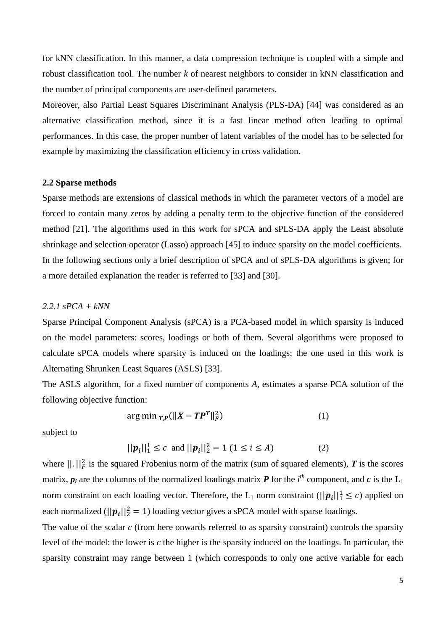for kNN classification. In this manner, a data compression technique is coupled with a simple and robust classification tool. The number *k* of nearest neighbors to consider in kNN classification and the number of principal components are user-defined parameters.

Moreover, also Partial Least Squares Discriminant Analysis (PLS-DA) [44] was considered as an alternative classification method, since it is a fast linear method often leading to optimal performances. In this case, the proper number of latent variables of the model has to be selected for example by maximizing the classification efficiency in cross validation.

## **2.2 Sparse methods**

Sparse methods are extensions of classical methods in which the parameter vectors of a model are forced to contain many zeros by adding a penalty term to the objective function of the considered method [21]. The algorithms used in this work for sPCA and sPLS-DA apply the Least absolute shrinkage and selection operator (Lasso) approach [45] to induce sparsity on the model coefficients. In the following sections only a brief description of sPCA and of sPLS-DA algorithms is given; for a more detailed explanation the reader is referred to [33] and [30].

#### *2.2.1 sPCA + kNN*

Sparse Principal Component Analysis (sPCA) is a PCA-based model in which sparsity is induced on the model parameters: scores, loadings or both of them. Several algorithms were proposed to calculate sPCA models where sparsity is induced on the loadings; the one used in this work is Alternating Shrunken Least Squares (ASLS) [33].

The ASLS algorithm, for a fixed number of components *A*, estimates a sparse PCA solution of the following objective function:

$$
\arg\min_{T,P} (\|X - TP^T\|_F^2) \tag{1}
$$

subject to

$$
||\mathbf{p}_i||_1^1 \le c \text{ and } ||\mathbf{p}_i||_2^2 = 1 \ (1 \le i \le A)
$$
 (2)

where  $\prod_{i=1}^{n}$  is the squared Frobenius norm of the matrix (sum of squared elements), *T* is the scores matrix,  $p_i$  are the columns of the normalized loadings matrix  $P$  for the  $i<sup>th</sup>$  component, and  $c$  is the  $L_1$ norm constraint on each loading vector. Therefore, the L<sub>1</sub> norm constraint  $(||p_i||_1^1 \le c)$  applied on each normalized ( $||\mathbf{p}_i||_2^2 = 1$ ) loading vector gives a sPCA model with sparse loadings.

The value of the scalar *c* (from here onwards referred to as sparsity constraint) controls the sparsity level of the model: the lower is *c* the higher is the sparsity induced on the loadings. In particular, the sparsity constraint may range between 1 (which corresponds to only one active variable for each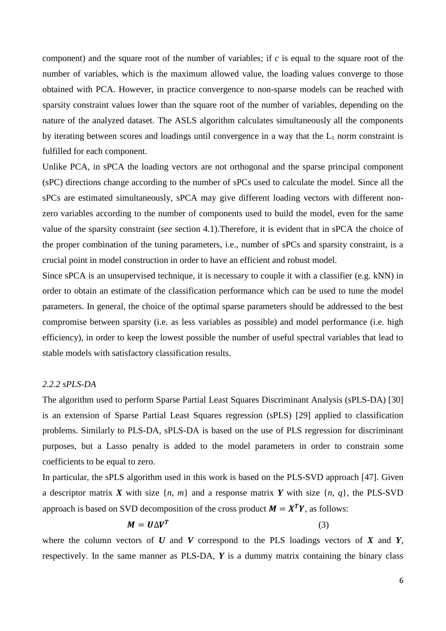component) and the square root of the number of variables; if *c* is equal to the square root of the number of variables, which is the maximum allowed value, the loading values converge to those obtained with PCA. However, in practice convergence to non-sparse models can be reached with sparsity constraint values lower than the square root of the number of variables, depending on the nature of the analyzed dataset. The ASLS algorithm calculates simultaneously all the components by iterating between scores and loadings until convergence in a way that the  $L_1$  norm constraint is fulfilled for each component.

Unlike PCA, in sPCA the loading vectors are not orthogonal and the sparse principal component (sPC) directions change according to the number of sPCs used to calculate the model. Since all the sPCs are estimated simultaneously, sPCA may give different loading vectors with different nonzero variables according to the number of components used to build the model, even for the same value of the sparsity constraint (*see* section 4.1).Therefore, it is evident that in sPCA the choice of the proper combination of the tuning parameters, i.e., number of sPCs and sparsity constraint, is a crucial point in model construction in order to have an efficient and robust model.

Since sPCA is an unsupervised technique, it is necessary to couple it with a classifier (e.g. kNN) in order to obtain an estimate of the classification performance which can be used to tune the model parameters. In general, the choice of the optimal sparse parameters should be addressed to the best compromise between sparsity (i.e. as less variables as possible) and model performance (i.e. high efficiency), in order to keep the lowest possible the number of useful spectral variables that lead to stable models with satisfactory classification results.

## *2.2.2 sPLS-DA*

The algorithm used to perform Sparse Partial Least Squares Discriminant Analysis (sPLS-DA) [30] is an extension of Sparse Partial Least Squares regression (sPLS) [29] applied to classification problems. Similarly to PLS-DA, sPLS-DA is based on the use of PLS regression for discriminant purposes, but a Lasso penalty is added to the model parameters in order to constrain some coefficients to be equal to zero.

In particular, the sPLS algorithm used in this work is based on the PLS-SVD approach [47]. Given a descriptor matrix *X* with size  $\{n, m\}$  and a response matrix *Y* with size  $\{n, q\}$ , the PLS-SVD approach is based on SVD decomposition of the cross product  $M = X^T Y$ , as follows:

$$
M = U \Delta V^T \tag{3}
$$

where the column vectors of *U* and *V* correspond to the PLS loadings vectors of *X* and *Y*, respectively. In the same manner as PLS-DA, *Y* is a dummy matrix containing the binary class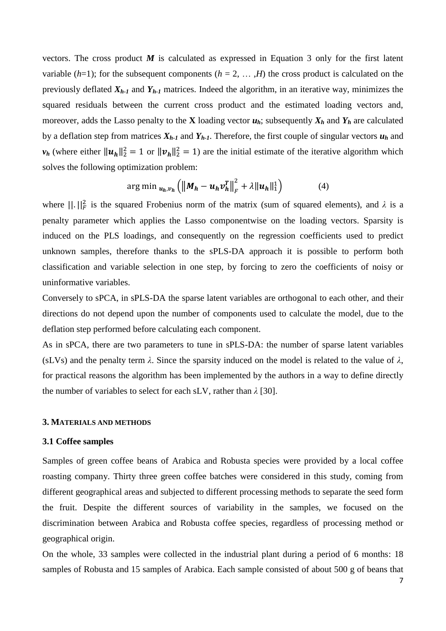vectors. The cross product  $M$  is calculated as expressed in Equation 3 only for the first latent variable  $(h=1)$ ; for the subsequent components  $(h=2, \ldots, H)$  the cross product is calculated on the previously deflated *Xh-1* and *Yh-1* matrices. Indeed the algorithm, in an iterative way, minimizes the squared residuals between the current cross product and the estimated loading vectors and, moreover, adds the Lasso penalty to the **X** loading vector  $u_h$ ; subsequently  $X_h$  and  $Y_h$  are calculated by a deflation step from matrices  $X_{h-1}$  and  $Y_{h-1}$ . Therefore, the first couple of singular vectors  $u_h$  and  $v_h$  (where either  $||u_h||_2^2 = 1$  or  $||v_h||_2^2 = 1$ ) are the initial estimate of the iterative algorithm which solves the following optimization problem:

$$
\arg\min u_{h,v_h}\left(\left\|\boldsymbol{M}_h - \boldsymbol{u}_h\boldsymbol{v}_h^T\right\|_F^2 + \lambda \|\boldsymbol{u}_h\|_1^1\right) \tag{4}
$$

where  $||.||_F^2$  is the squared Frobenius norm of the matrix (sum of squared elements), and  $\lambda$  is a penalty parameter which applies the Lasso componentwise on the loading vectors. Sparsity is induced on the PLS loadings, and consequently on the regression coefficients used to predict unknown samples, therefore thanks to the sPLS-DA approach it is possible to perform both classification and variable selection in one step, by forcing to zero the coefficients of noisy or uninformative variables.

Conversely to sPCA, in sPLS-DA the sparse latent variables are orthogonal to each other, and their directions do not depend upon the number of components used to calculate the model, due to the deflation step performed before calculating each component.

As in sPCA, there are two parameters to tune in sPLS-DA: the number of sparse latent variables (sLVs) and the penalty term  $\lambda$ . Since the sparsity induced on the model is related to the value of  $\lambda$ , for practical reasons the algorithm has been implemented by the authors in a way to define directly the number of variables to select for each sLV, rather than *λ* [30].

## **3. MATERIALS AND METHODS**

#### **3.1 Coffee samples**

Samples of green coffee beans of Arabica and Robusta species were provided by a local coffee roasting company. Thirty three green coffee batches were considered in this study, coming from different geographical areas and subjected to different processing methods to separate the seed form the fruit. Despite the different sources of variability in the samples, we focused on the discrimination between Arabica and Robusta coffee species, regardless of processing method or geographical origin.

On the whole, 33 samples were collected in the industrial plant during a period of 6 months: 18 samples of Robusta and 15 samples of Arabica. Each sample consisted of about 500 g of beans that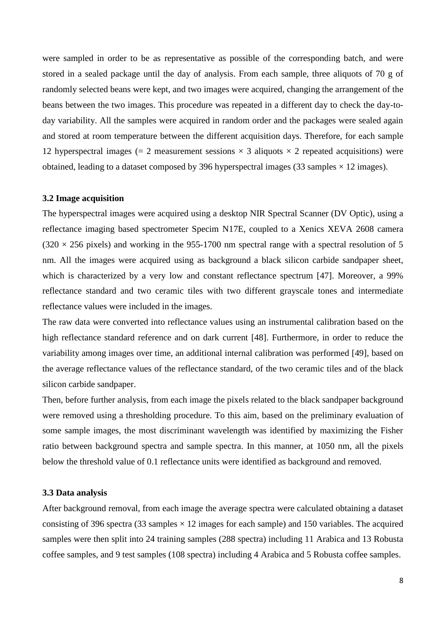were sampled in order to be as representative as possible of the corresponding batch, and were stored in a sealed package until the day of analysis. From each sample, three aliquots of 70 g of randomly selected beans were kept, and two images were acquired, changing the arrangement of the beans between the two images. This procedure was repeated in a different day to check the day-today variability. All the samples were acquired in random order and the packages were sealed again and stored at room temperature between the different acquisition days. Therefore, for each sample 12 hyperspectral images (= 2 measurement sessions  $\times$  3 aliquots  $\times$  2 repeated acquisitions) were obtained, leading to a dataset composed by 396 hyperspectral images (33 samples  $\times$  12 images).

## **3.2 Image acquisition**

The hyperspectral images were acquired using a desktop NIR Spectral Scanner (DV Optic), using a reflectance imaging based spectrometer Specim N17E, coupled to a Xenics XEVA 2608 camera  $(320 \times 256$  pixels) and working in the 955-1700 nm spectral range with a spectral resolution of 5 nm. All the images were acquired using as background a black silicon carbide sandpaper sheet, which is characterized by a very low and constant reflectance spectrum [47]. Moreover, a 99% reflectance standard and two ceramic tiles with two different grayscale tones and intermediate reflectance values were included in the images.

The raw data were converted into reflectance values using an instrumental calibration based on the high reflectance standard reference and on dark current [48]. Furthermore, in order to reduce the variability among images over time, an additional internal calibration was performed [49], based on the average reflectance values of the reflectance standard, of the two ceramic tiles and of the black silicon carbide sandpaper.

Then, before further analysis, from each image the pixels related to the black sandpaper background were removed using a thresholding procedure. To this aim, based on the preliminary evaluation of some sample images, the most discriminant wavelength was identified by maximizing the Fisher ratio between background spectra and sample spectra. In this manner, at 1050 nm, all the pixels below the threshold value of 0.1 reflectance units were identified as background and removed.

#### **3.3 Data analysis**

After background removal, from each image the average spectra were calculated obtaining a dataset consisting of 396 spectra (33 samples  $\times$  12 images for each sample) and 150 variables. The acquired samples were then split into 24 training samples (288 spectra) including 11 Arabica and 13 Robusta coffee samples, and 9 test samples (108 spectra) including 4 Arabica and 5 Robusta coffee samples.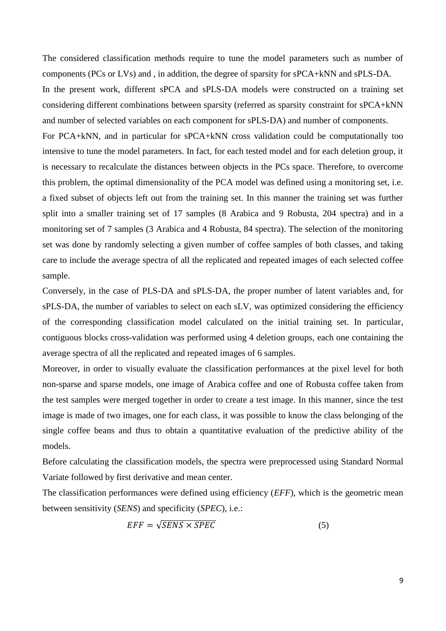The considered classification methods require to tune the model parameters such as number of components (PCs or LVs) and , in addition, the degree of sparsity for sPCA+kNN and sPLS-DA.

In the present work, different sPCA and sPLS-DA models were constructed on a training set considering different combinations between sparsity (referred as sparsity constraint for sPCA+kNN and number of selected variables on each component for sPLS-DA) and number of components.

For PCA+kNN, and in particular for sPCA+kNN cross validation could be computationally too intensive to tune the model parameters. In fact, for each tested model and for each deletion group, it is necessary to recalculate the distances between objects in the PCs space. Therefore, to overcome this problem, the optimal dimensionality of the PCA model was defined using a monitoring set, i.e. a fixed subset of objects left out from the training set. In this manner the training set was further split into a smaller training set of 17 samples (8 Arabica and 9 Robusta, 204 spectra) and in a monitoring set of 7 samples (3 Arabica and 4 Robusta, 84 spectra). The selection of the monitoring set was done by randomly selecting a given number of coffee samples of both classes, and taking care to include the average spectra of all the replicated and repeated images of each selected coffee sample.

Conversely, in the case of PLS-DA and sPLS-DA, the proper number of latent variables and, for sPLS-DA, the number of variables to select on each sLV, was optimized considering the efficiency of the corresponding classification model calculated on the initial training set. In particular, contiguous blocks cross-validation was performed using 4 deletion groups, each one containing the average spectra of all the replicated and repeated images of 6 samples.

Moreover, in order to visually evaluate the classification performances at the pixel level for both non-sparse and sparse models, one image of Arabica coffee and one of Robusta coffee taken from the test samples were merged together in order to create a test image. In this manner, since the test image is made of two images, one for each class, it was possible to know the class belonging of the single coffee beans and thus to obtain a quantitative evaluation of the predictive ability of the models.

Before calculating the classification models, the spectra were preprocessed using Standard Normal Variate followed by first derivative and mean center.

The classification performances were defined using efficiency (*EFF*), which is the geometric mean between sensitivity (*SENS*) and specificity (*SPEC*), i.e.:

$$
EFF = \sqrt{SENS \times SPEC}
$$
 (5)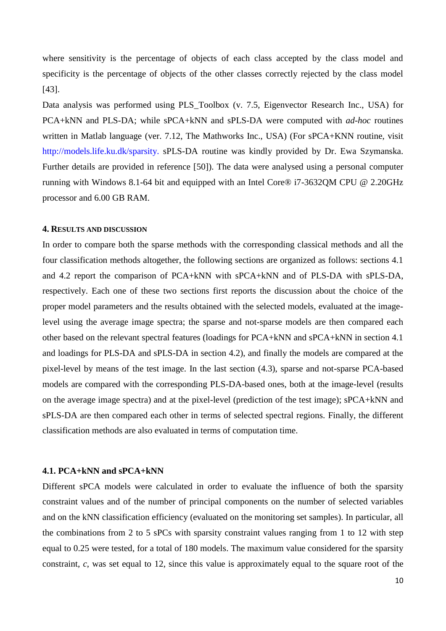where sensitivity is the percentage of objects of each class accepted by the class model and specificity is the percentage of objects of the other classes correctly rejected by the class model [43].

Data analysis was performed using PLS Toolbox (v. 7.5, Eigenvector Research Inc., USA) for PCA+kNN and PLS-DA; while sPCA+kNN and sPLS-DA were computed with *ad-hoc* routines written in Matlab language (ver. 7.12, The Mathworks Inc., USA) (For sPCA+KNN routine, visit http://models.life.ku.dk/sparsity. sPLS-DA routine was kindly provided by Dr. Ewa Szymanska. Further details are provided in reference [50]). The data were analysed using a personal computer running with Windows 8.1-64 bit and equipped with an Intel Core® i7-3632QM CPU @ 2.20GHz processor and 6.00 GB RAM.

### **4. RESULTS AND DISCUSSION**

In order to compare both the sparse methods with the corresponding classical methods and all the four classification methods altogether, the following sections are organized as follows: sections 4.1 and 4.2 report the comparison of PCA+kNN with sPCA+kNN and of PLS-DA with sPLS-DA, respectively. Each one of these two sections first reports the discussion about the choice of the proper model parameters and the results obtained with the selected models, evaluated at the imagelevel using the average image spectra; the sparse and not-sparse models are then compared each other based on the relevant spectral features (loadings for PCA+kNN and sPCA+kNN in section 4.1 and loadings for PLS-DA and sPLS-DA in section 4.2), and finally the models are compared at the pixel-level by means of the test image. In the last section (4.3), sparse and not-sparse PCA-based models are compared with the corresponding PLS-DA-based ones, both at the image-level (results on the average image spectra) and at the pixel-level (prediction of the test image); sPCA+kNN and sPLS-DA are then compared each other in terms of selected spectral regions. Finally, the different classification methods are also evaluated in terms of computation time.

## **4.1. PCA+kNN and sPCA+kNN**

Different sPCA models were calculated in order to evaluate the influence of both the sparsity constraint values and of the number of principal components on the number of selected variables and on the kNN classification efficiency (evaluated on the monitoring set samples). In particular, all the combinations from 2 to 5 sPCs with sparsity constraint values ranging from 1 to 12 with step equal to 0.25 were tested, for a total of 180 models. The maximum value considered for the sparsity constraint, *c*, was set equal to 12, since this value is approximately equal to the square root of the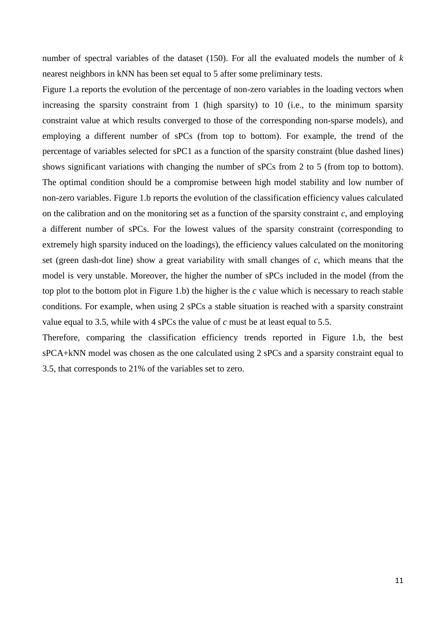number of spectral variables of the dataset (150). For all the evaluated models the number of *k* nearest neighbors in kNN has been set equal to 5 after some preliminary tests.

Figure 1.a reports the evolution of the percentage of non-zero variables in the loading vectors when increasing the sparsity constraint from 1 (high sparsity) to 10 (i.e., to the minimum sparsity constraint value at which results converged to those of the corresponding non-sparse models), and employing a different number of sPCs (from top to bottom). For example, the trend of the percentage of variables selected for sPC1 as a function of the sparsity constraint (blue dashed lines) shows significant variations with changing the number of sPCs from 2 to 5 (from top to bottom). The optimal condition should be a compromise between high model stability and low number of non-zero variables. Figure 1.b reports the evolution of the classification efficiency values calculated on the calibration and on the monitoring set as a function of the sparsity constraint *c*, and employing a different number of sPCs. For the lowest values of the sparsity constraint (corresponding to extremely high sparsity induced on the loadings), the efficiency values calculated on the monitoring set (green dash-dot line) show a great variability with small changes of *c*, which means that the model is very unstable. Moreover, the higher the number of sPCs included in the model (from the top plot to the bottom plot in Figure 1.b) the higher is the *c* value which is necessary to reach stable conditions. For example, when using 2 sPCs a stable situation is reached with a sparsity constraint value equal to 3.5, while with 4 sPCs the value of *c* must be at least equal to 5.5.

Therefore, comparing the classification efficiency trends reported in Figure 1.b, the best sPCA+kNN model was chosen as the one calculated using 2 sPCs and a sparsity constraint equal to 3.5, that corresponds to 21% of the variables set to zero.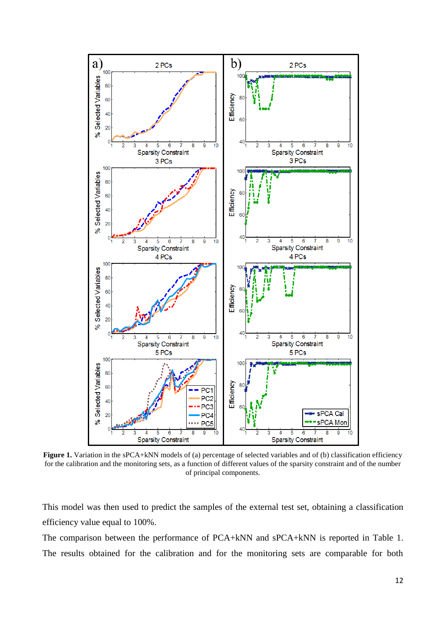

**Figure 1.** Variation in the sPCA+kNN models of (a) percentage of selected variables and of (b) classification efficiency for the calibration and the monitoring sets, as a function of different values of the sparsity constraint and of the number of principal components.

This model was then used to predict the samples of the external test set, obtaining a classification efficiency value equal to 100%.

The comparison between the performance of PCA+kNN and sPCA+kNN is reported in Table 1. The results obtained for the calibration and for the monitoring sets are comparable for both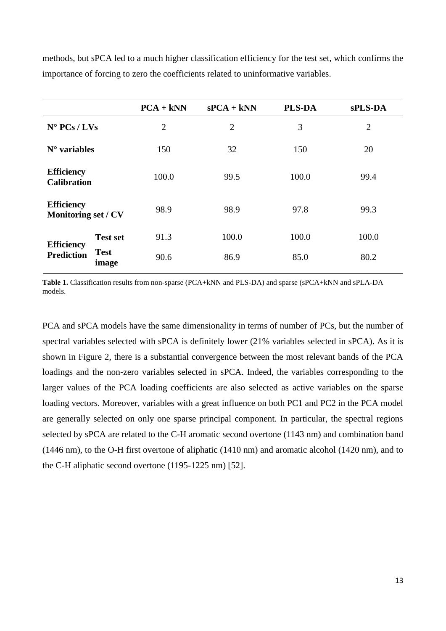methods, but sPCA led to a much higher classification efficiency for the test set, which confirms the importance of forcing to zero the coefficients related to uninformative variables.

|                                          |                      | $PCA + kNN$    | $sPCA + kNN$   | <b>PLS-DA</b> | sPLS-DA        |
|------------------------------------------|----------------------|----------------|----------------|---------------|----------------|
| $N^{\circ}$ PCs / LVs                    |                      | $\overline{2}$ | $\overline{2}$ | 3             | $\overline{2}$ |
| $N^{\circ}$ variables                    |                      | 150            | 32             | 150           | 20             |
| <b>Efficiency</b><br><b>Calibration</b>  |                      | 100.0          | 99.5           | 100.0         | 99.4           |
| <b>Efficiency</b><br>Monitoring set / CV |                      | 98.9           | 98.9           | 97.8          | 99.3           |
| <b>Efficiency</b><br><b>Prediction</b>   | <b>Test set</b>      | 91.3           | 100.0          | 100.0         | 100.0          |
|                                          | <b>Test</b><br>image | 90.6           | 86.9           | 85.0          | 80.2           |

**Table 1.** Classification results from non-sparse (PCA+kNN and PLS-DA) and sparse (sPCA+kNN and sPLA-DA models.

PCA and sPCA models have the same dimensionality in terms of number of PCs, but the number of spectral variables selected with sPCA is definitely lower (21% variables selected in sPCA). As it is shown in Figure 2, there is a substantial convergence between the most relevant bands of the PCA loadings and the non-zero variables selected in sPCA. Indeed, the variables corresponding to the larger values of the PCA loading coefficients are also selected as active variables on the sparse loading vectors. Moreover, variables with a great influence on both PC1 and PC2 in the PCA model are generally selected on only one sparse principal component. In particular, the spectral regions selected by sPCA are related to the C-H aromatic second overtone (1143 nm) and combination band (1446 nm), to the O-H first overtone of aliphatic (1410 nm) and aromatic alcohol (1420 nm), and to the C-H aliphatic second overtone (1195-1225 nm) [52].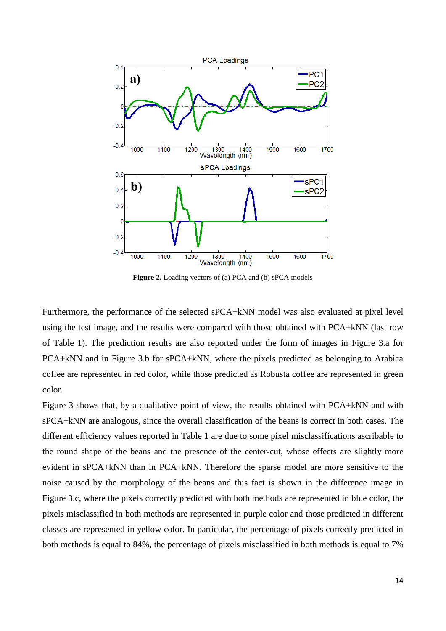

Figure 2. Loading vectors of (a) PCA and (b) sPCA models

Furthermore, the performance of the selected sPCA+kNN model was also evaluated at pixel level using the test image, and the results were compared with those obtained with PCA+kNN (last row of Table 1). The prediction results are also reported under the form of images in Figure 3.a for PCA+kNN and in Figure 3.b for sPCA+kNN, where the pixels predicted as belonging to Arabica coffee are represented in red color, while those predicted as Robusta coffee are represented in green color.

Figure 3 shows that, by a qualitative point of view, the results obtained with PCA+kNN and with sPCA+kNN are analogous, since the overall classification of the beans is correct in both cases. The different efficiency values reported in Table 1 are due to some pixel misclassifications ascribable to the round shape of the beans and the presence of the center-cut, whose effects are slightly more evident in sPCA+kNN than in PCA+kNN. Therefore the sparse model are more sensitive to the noise caused by the morphology of the beans and this fact is shown in the difference image in Figure 3.c, where the pixels correctly predicted with both methods are represented in blue color, the pixels misclassified in both methods are represented in purple color and those predicted in different classes are represented in yellow color. In particular, the percentage of pixels correctly predicted in both methods is equal to 84%, the percentage of pixels misclassified in both methods is equal to 7%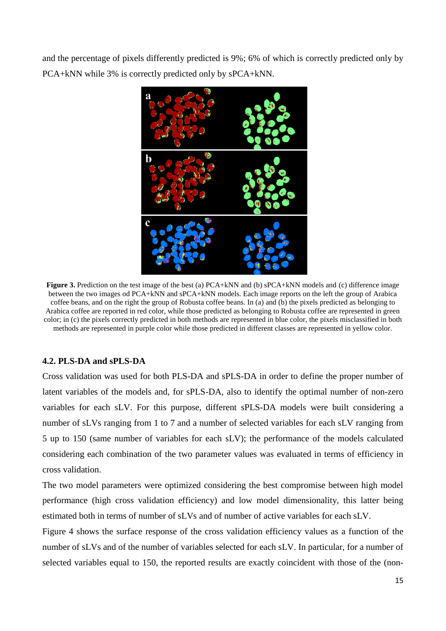and the percentage of pixels differently predicted is 9%; 6% of which is correctly predicted only by PCA+kNN while 3% is correctly predicted only by sPCA+kNN.



**Figure 3.** Prediction on the test image of the best (a) PCA+kNN and (b) sPCA+kNN models and (c) difference image between the two images od PCA+kNN and sPCA+kNN models. Each image reports on the left the group of Arabica coffee beans, and on the right the group of Robusta coffee beans. In (a) and (b) the pixels predicted as belonging to Arabica coffee are reported in red color, while those predicted as belonging to Robusta coffee are represented in green color; in (c) the pixels correctly predicted in both methods are represented in blue color, the pixels misclassified in both methods are represented in purple color while those predicted in different classes are represented in yellow color.

#### **4.2. PLS-DA and sPLS-DA**

Cross validation was used for both PLS-DA and sPLS-DA in order to define the proper number of latent variables of the models and, for sPLS-DA, also to identify the optimal number of non-zero variables for each sLV. For this purpose, different sPLS-DA models were built considering a number of sLVs ranging from 1 to 7 and a number of selected variables for each sLV ranging from 5 up to 150 (same number of variables for each sLV); the performance of the models calculated considering each combination of the two parameter values was evaluated in terms of efficiency in cross validation.

The two model parameters were optimized considering the best compromise between high model performance (high cross validation efficiency) and low model dimensionality, this latter being estimated both in terms of number of sLVs and of number of active variables for each sLV.

Figure 4 shows the surface response of the cross validation efficiency values as a function of the number of sLVs and of the number of variables selected for each sLV. In particular, for a number of selected variables equal to 150, the reported results are exactly coincident with those of the (non-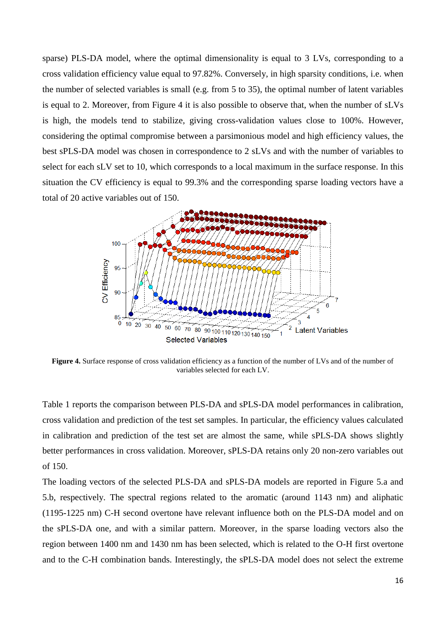sparse) PLS-DA model, where the optimal dimensionality is equal to 3 LVs, corresponding to a cross validation efficiency value equal to 97.82%. Conversely, in high sparsity conditions, i.e. when the number of selected variables is small (e.g. from 5 to 35), the optimal number of latent variables is equal to 2. Moreover, from Figure 4 it is also possible to observe that, when the number of sLVs is high, the models tend to stabilize, giving cross-validation values close to 100%. However, considering the optimal compromise between a parsimonious model and high efficiency values, the best sPLS-DA model was chosen in correspondence to 2 sLVs and with the number of variables to select for each sLV set to 10, which corresponds to a local maximum in the surface response. In this situation the CV efficiency is equal to 99.3% and the corresponding sparse loading vectors have a total of 20 active variables out of 150.



**Figure 4.** Surface response of cross validation efficiency as a function of the number of LVs and of the number of variables selected for each LV.

Table 1 reports the comparison between PLS-DA and sPLS-DA model performances in calibration, cross validation and prediction of the test set samples. In particular, the efficiency values calculated in calibration and prediction of the test set are almost the same, while sPLS-DA shows slightly better performances in cross validation. Moreover, sPLS-DA retains only 20 non-zero variables out of 150.

The loading vectors of the selected PLS-DA and sPLS-DA models are reported in Figure 5.a and 5.b, respectively. The spectral regions related to the aromatic (around 1143 nm) and aliphatic (1195-1225 nm) C-H second overtone have relevant influence both on the PLS-DA model and on the sPLS-DA one, and with a similar pattern. Moreover, in the sparse loading vectors also the region between 1400 nm and 1430 nm has been selected, which is related to the O-H first overtone and to the C-H combination bands. Interestingly, the sPLS-DA model does not select the extreme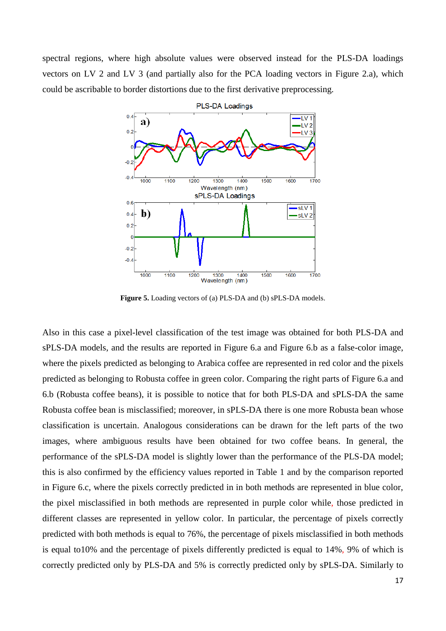spectral regions, where high absolute values were observed instead for the PLS-DA loadings vectors on LV 2 and LV 3 (and partially also for the PCA loading vectors in Figure 2.a), which could be ascribable to border distortions due to the first derivative preprocessing.



**Figure 5.** Loading vectors of (a) PLS-DA and (b) sPLS-DA models.

Also in this case a pixel-level classification of the test image was obtained for both PLS-DA and sPLS-DA models, and the results are reported in Figure 6.a and Figure 6.b as a false-color image, where the pixels predicted as belonging to Arabica coffee are represented in red color and the pixels predicted as belonging to Robusta coffee in green color. Comparing the right parts of Figure 6.a and 6.b (Robusta coffee beans), it is possible to notice that for both PLS-DA and sPLS-DA the same Robusta coffee bean is misclassified; moreover, in sPLS-DA there is one more Robusta bean whose classification is uncertain. Analogous considerations can be drawn for the left parts of the two images, where ambiguous results have been obtained for two coffee beans. In general, the performance of the sPLS-DA model is slightly lower than the performance of the PLS-DA model; this is also confirmed by the efficiency values reported in Table 1 and by the comparison reported in Figure 6.c, where the pixels correctly predicted in in both methods are represented in blue color, the pixel misclassified in both methods are represented in purple color while, those predicted in different classes are represented in yellow color. In particular, the percentage of pixels correctly predicted with both methods is equal to 76%, the percentage of pixels misclassified in both methods is equal to10% and the percentage of pixels differently predicted is equal to 14%, 9% of which is correctly predicted only by PLS-DA and 5% is correctly predicted only by sPLS-DA. Similarly to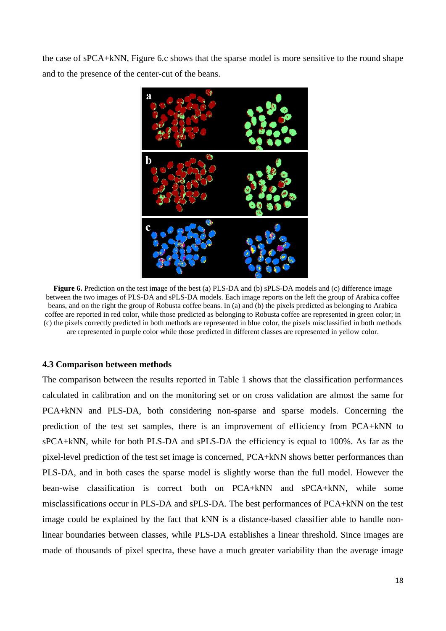the case of sPCA+kNN, Figure 6.c shows that the sparse model is more sensitive to the round shape and to the presence of the center-cut of the beans.



**Figure 6.** Prediction on the test image of the best (a) PLS-DA and (b) sPLS-DA models and (c) difference image between the two images of PLS-DA and sPLS-DA models. Each image reports on the left the group of Arabica coffee beans, and on the right the group of Robusta coffee beans. In (a) and (b) the pixels predicted as belonging to Arabica coffee are reported in red color, while those predicted as belonging to Robusta coffee are represented in green color; in (c) the pixels correctly predicted in both methods are represented in blue color, the pixels misclassified in both methods are represented in purple color while those predicted in different classes are represented in yellow color.

## **4.3 Comparison between methods**

The comparison between the results reported in Table 1 shows that the classification performances calculated in calibration and on the monitoring set or on cross validation are almost the same for PCA+kNN and PLS-DA, both considering non-sparse and sparse models. Concerning the prediction of the test set samples, there is an improvement of efficiency from PCA+kNN to sPCA+kNN, while for both PLS-DA and sPLS-DA the efficiency is equal to 100%. As far as the pixel-level prediction of the test set image is concerned, PCA+kNN shows better performances than PLS-DA, and in both cases the sparse model is slightly worse than the full model. However the bean-wise classification is correct both on PCA+kNN and sPCA+kNN, while some misclassifications occur in PLS-DA and sPLS-DA. The best performances of PCA+kNN on the test image could be explained by the fact that kNN is a distance-based classifier able to handle nonlinear boundaries between classes, while PLS-DA establishes a linear threshold. Since images are made of thousands of pixel spectra, these have a much greater variability than the average image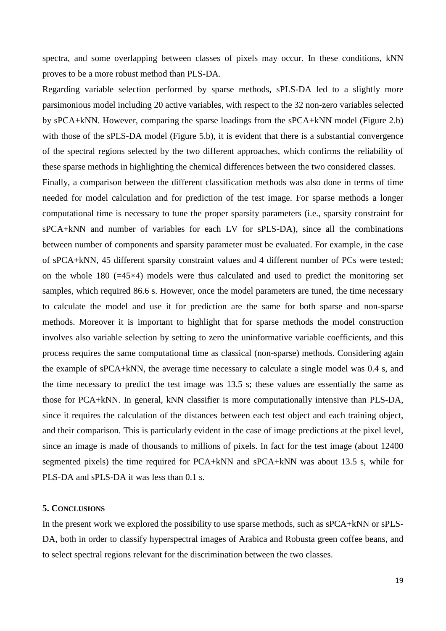spectra, and some overlapping between classes of pixels may occur. In these conditions, kNN proves to be a more robust method than PLS-DA.

Regarding variable selection performed by sparse methods, sPLS-DA led to a slightly more parsimonious model including 20 active variables, with respect to the 32 non-zero variables selected by sPCA+kNN. However, comparing the sparse loadings from the sPCA+kNN model (Figure 2.b) with those of the sPLS-DA model (Figure 5.b), it is evident that there is a substantial convergence of the spectral regions selected by the two different approaches, which confirms the reliability of these sparse methods in highlighting the chemical differences between the two considered classes.

Finally, a comparison between the different classification methods was also done in terms of time needed for model calculation and for prediction of the test image. For sparse methods a longer computational time is necessary to tune the proper sparsity parameters (i.e., sparsity constraint for sPCA+kNN and number of variables for each LV for sPLS-DA), since all the combinations between number of components and sparsity parameter must be evaluated. For example, in the case of sPCA+kNN, 45 different sparsity constraint values and 4 different number of PCs were tested; on the whole 180  $(=45\times4)$  models were thus calculated and used to predict the monitoring set samples, which required 86.6 s. However, once the model parameters are tuned, the time necessary to calculate the model and use it for prediction are the same for both sparse and non-sparse methods. Moreover it is important to highlight that for sparse methods the model construction involves also variable selection by setting to zero the uninformative variable coefficients, and this process requires the same computational time as classical (non-sparse) methods. Considering again the example of sPCA+kNN, the average time necessary to calculate a single model was 0.4 s, and the time necessary to predict the test image was 13.5 s; these values are essentially the same as those for PCA+kNN. In general, kNN classifier is more computationally intensive than PLS-DA, since it requires the calculation of the distances between each test object and each training object, and their comparison. This is particularly evident in the case of image predictions at the pixel level, since an image is made of thousands to millions of pixels. In fact for the test image (about 12400 segmented pixels) the time required for PCA+kNN and sPCA+kNN was about 13.5 s, while for PLS-DA and sPLS-DA it was less than 0.1 s.

## **5. CONCLUSIONS**

In the present work we explored the possibility to use sparse methods, such as sPCA+kNN or sPLS-DA, both in order to classify hyperspectral images of Arabica and Robusta green coffee beans, and to select spectral regions relevant for the discrimination between the two classes.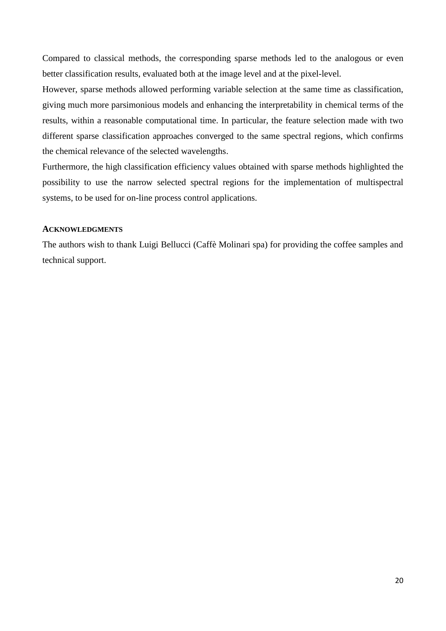Compared to classical methods, the corresponding sparse methods led to the analogous or even better classification results, evaluated both at the image level and at the pixel-level.

However, sparse methods allowed performing variable selection at the same time as classification, giving much more parsimonious models and enhancing the interpretability in chemical terms of the results, within a reasonable computational time. In particular, the feature selection made with two different sparse classification approaches converged to the same spectral regions, which confirms the chemical relevance of the selected wavelengths.

Furthermore, the high classification efficiency values obtained with sparse methods highlighted the possibility to use the narrow selected spectral regions for the implementation of multispectral systems, to be used for on-line process control applications.

## **ACKNOWLEDGMENTS**

The authors wish to thank Luigi Bellucci (Caffè Molinari spa) for providing the coffee samples and technical support.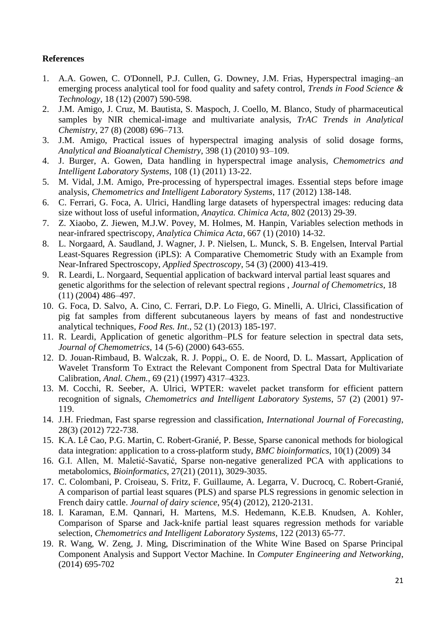# **References**

- 1. A.A. Gowen, C. O'Donnell, P.J. Cullen, G. Downey, J.M. Frias, Hyperspectral imaging–an emerging process analytical tool for food quality and safety control, *Trends in Food Science & Technology*, 18 (12) (2007) 590-598.
- 2. J.M. Amigo, J. Cruz, M. Bautista, S. Maspoch, J. Coello, M. Blanco, Study of pharmaceutical samples by NIR chemical-image and multivariate analysis, *TrAC Trends in Analytical Chemistry*, 27 (8) (2008) 696–713.
- 3. J.M. Amigo, Practical issues of hyperspectral imaging analysis of solid dosage forms, *Analytical and Bioanalytical Chemistry*, 398 (1) (2010) 93–109.
- 4. J. Burger, A. Gowen, Data handling in hyperspectral image analysis, *Chemometrics and Intelligent Laboratory Systems*, 108 (1) (2011) 13-22.
- 5. M. Vidal, J.M. Amigo, Pre-processing of hyperspectral images. Essential steps before image analysis, *Chemometrics and Intelligent Laboratory Systems*, 117 (2012) 138-148.
- 6. C. Ferrari, G. Foca, A. Ulrici, Handling large datasets of hyperspectral images: reducing data size without loss of useful information, *Anaytica. Chimica Acta*, 802 (2013) 29-39.
- 7. Z. Xiaobo, Z. Jiewen, M.J.W. Povey, M. Holmes, M. Hanpin, Variables selection methods in near-infrared spectriscopy, *Analytica Chimica Acta*, 667 (1) (2010) 14-32.
- 8. L. Norgaard, A. Saudland, J. Wagner, J. P. Nielsen, L. Munck, S. B. Engelsen, Interval Partial Least-Squares Regression (iPLS): A Comparative Chemometric Study with an Example from Near-Infrared Spectroscopy, *Applied Spectroscopy*, 54 (3) (2000) 413-419.
- 9. R. Leardi, L. Norgaard, Sequential application of backward interval partial least squares and genetic algorithms for the selection of relevant spectral regions , *Journal of Chemometrics*, 18 (11) (2004) 486–497.
- 10. G. Foca, D. Salvo, A. Cino, C. Ferrari, D.P. Lo Fiego, G. Minelli, A. Ulrici, Classification of pig fat samples from different subcutaneous layers by means of fast and nondestructive analytical techniques, *Food Res. Int*., 52 (1) (2013) 185-197.
- 11. R. Leardi, Application of genetic algorithm–PLS for feature selection in spectral data sets, *Journal of Chemometrics*, 14 (5-6) (2000) 643-655.
- 12. D. Jouan-Rimbaud, B. Walczak, R. J. Poppi,, O. E. de Noord, D. L. Massart, Application of Wavelet Transform To Extract the Relevant Component from Spectral Data for Multivariate Calibration, *Anal. Chem.*, 69 (21) (1997) 4317–4323.
- 13. M. Cocchi, R. Seeber, A. Ulrici, WPTER: wavelet packet transform for efficient pattern recognition of signals, *Chemometrics and Intelligent Laboratory Systems*, 57 (2) (2001) 97- 119.
- 14. J.H. Friedman, Fast sparse regression and classification, *International Journal of Forecasting*, 28(3) (2012) 722-738.
- 15. K.A. Lê Cao, P.G. Martin, C. Robert-Granié, P. Besse, Sparse canonical methods for biological data integration: application to a cross-platform study, *BMC bioinformatics*, 10(1) (2009) 34
- 16. G.I. Allen, M. Maletić-Savatić, Sparse non-negative generalized PCA with applications to metabolomics, *Bioinformatics*, 27(21) (2011), 3029-3035.
- 17. C. Colombani, P. Croiseau, S. Fritz, F. Guillaume, A. Legarra, V. Ducrocq, C. Robert-Granié, A comparison of partial least squares (PLS) and sparse PLS regressions in genomic selection in French dairy cattle. *Journal of dairy science*, 95(4) (2012), 2120-2131.
- 18. I. Karaman, E.M. Qannari, H. Martens, M.S. Hedemann, K.E.B. Knudsen, A. Kohler, Comparison of Sparse and Jack-knife partial least squares regression methods for variable selection, *Chemometrics and Intelligent Laboratory Systems*, 122 (2013) 65-77.
- 19. R. Wang, W. Zeng, J. Ming, Discrimination of the White Wine Based on Sparse Principal Component Analysis and Support Vector Machine. In *Computer Engineering and Networking*, (2014) 695-702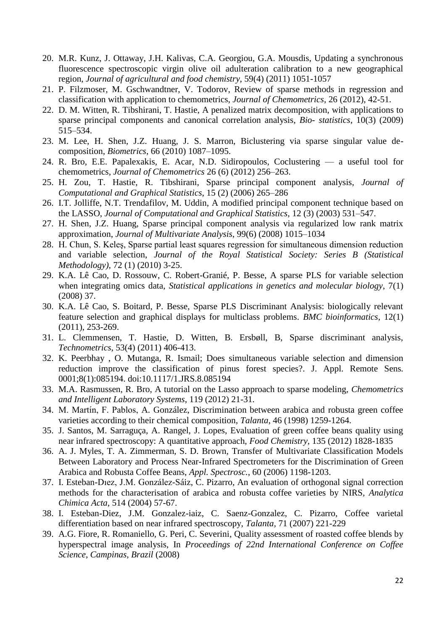- 20. M.R. Kunz, J. Ottaway, J.H. Kalivas, C.A. Georgiou, G.A. Mousdis, Updating a synchronous fluorescence spectroscopic virgin olive oil adulteration calibration to a new geographical region, *Journal of agricultural and food chemistry*, 59(4) (2011) 1051-1057
- 21. P. Filzmoser, M. Gschwandtner, V. Todorov, Review of sparse methods in regression and classification with application to chemometrics, *Journal of Chemometrics*, 26 (2012), 42-51.
- 22. D. M. Witten, R. Tibshirani, T. Hastie, A penalized matrix decomposition, with applications to sparse principal components and canonical correlation analysis, *Bio- statistics*, 10(3) (2009) 515–534.
- 23. M. Lee, H. Shen, J.Z. Huang, J. S. Marron, Biclustering via sparse singular value decomposition, *Biometrics*, 66 (2010) 1087–1095.
- 24. R. Bro, E.E. Papalexakis, E. Acar, N.D. Sidiropoulos, Coclustering a useful tool for chemometrics, *Journal of Chemometrics* 26 (6) (2012) 256–263.
- 25. H. Zou, T. Hastie, R. Tibshirani, Sparse principal component analysis, *Journal of Computational and Graphical Statistics*, 15 (2) (2006) 265–286
- 26. I.T. Jolliffe, N.T. Trendafilov, M. Uddin, A modified principal component technique based on the LASSO, *Journal of Computational and Graphical Statistics*, 12 (3) (2003) 531–547.
- 27. H. Shen, J.Z. Huang, Sparse principal component analysis via regularized low rank matrix approximation, *Journal of Multivariate Analysis*, 99(6) (2008) 1015–1034
- 28. H. Chun, S. Keleş, Sparse partial least squares regression for simultaneous dimension reduction and variable selection, *Journal of the Royal Statistical Society: Series B (Statistical Methodology)*, 72 (1) (2010) 3-25.
- 29. K.A. Lê Cao, D. Rossouw, C. Robert-Granié, P. Besse, A sparse PLS for variable selection when integrating omics data, *Statistical applications in genetics and molecular biology*, 7(1) (2008) 37.
- 30. K.A. Lê Cao, S. Boitard, P. Besse, Sparse PLS Discriminant Analysis: biologically relevant feature selection and graphical displays for multiclass problems. *BMC bioinformatics*, 12(1) (2011), 253-269.
- 31. L. Clemmensen, T. Hastie, D. Witten, B. Ersbøll, B, Sparse discriminant analysis, *Technometrics*, 53(4) (2011) 406-413.
- 32. K. Peerbhay , O. Mutanga, R. Ismail; Does simultaneous variable selection and dimension reduction improve the classification of pinus forest species?. J. Appl. Remote Sens. 0001;8(1):085194. doi:10.1117/1.JRS.8.085194
- 33. M.A. Rasmussen, R. Bro, A tutorial on the Lasso approach to sparse modeling, *Chemometrics and Intelligent Laboratory Systems*, 119 (2012) 21-31.
- 34. M. Martín, F. Pablos, A. González, Discrimination between arabica and robusta green coffee varieties according to their chemical composition, *Talanta*, 46 (1998) 1259-1264.
- 35. J. Santos, M. Sarraguça, A. Rangel, J. Lopes, Evaluation of green coffee beans quality using near infrared spectroscopy: A quantitative approach, *Food Chemistry*, 135 (2012) 1828-1835
- 36. A. J. Myles, T. A. Zimmerman, S. D. Brown, Transfer of Multivariate Classification Models Between Laboratory and Process Near-Infrared Spectrometers for the Discrimination of Green Arabica and Robusta Coffee Beans, *Appl. Spectrosc.*, 60 (2006) 1198-1203.
- 37. I. Esteban-Dıez, J.M. González-Sáiz, C. Pizarro, An evaluation of orthogonal signal correction methods for the characterisation of arabica and robusta coffee varieties by NIRS, *Analytica Chimica Acta*, 514 (2004) 57-67.
- 38. I. Esteban-Diez, J.M. Gonzalez-iaiz, C. Saenz-Gonzalez, C. Pizarro, Coffee varietal differentiation based on near infrared spectroscopy, *Talanta*, 71 (2007) 221-229
- 39. A.G. Fiore, R. Romaniello, G. Peri, C. Severini, Quality assessment of roasted coffee blends by hyperspectral image analysis, In *Proceedings of 22nd International Conference on Coffee Science, Campinas, Brazil* (2008)